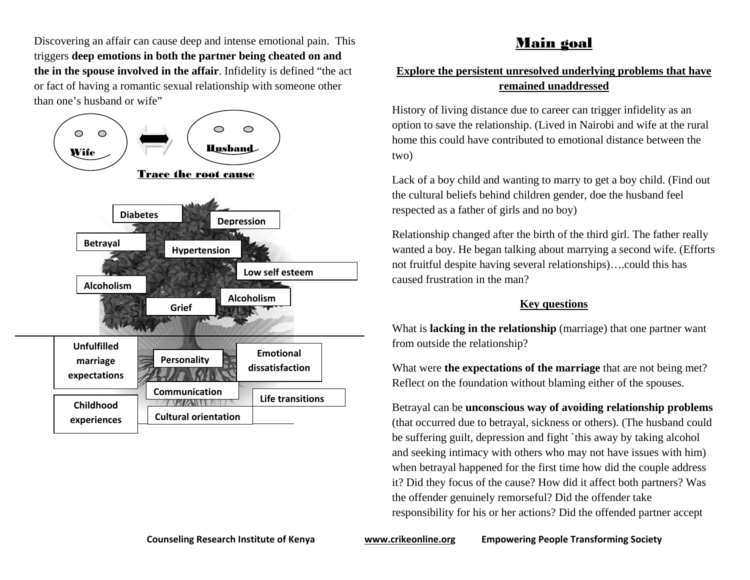Discovering an affair can cause deep and intense emotional pain. This triggers **deep emotions in both the partner being cheated on and the in the spouse involved in the affair**. Infidelity is defined "the act or fact of having a romantic sexual relationship with someone other than one's husband or wife"



# Main goal

### **Explore the persistent unresolved underlying problems that have remained unaddressed**

History of living distance due to career can trigger infidelity as an option to save the relationship. (Lived in Nairobi and wife at the rural home this could have contributed to emotional distance between the two)

Lack of a boy child and wanting to marry to get a boy child. (Find out the cultural beliefs behind children gender, doe the husband feel respected as a father of girls and no boy)

Relationship changed after the birth of the third girl. The father really wanted a boy. He began talking about marrying a second wife. (Efforts not fruitful despite having several relationships)….could this has caused frustration in the man?

### **Key questions**

What is **lacking in the relationship** (marriage) that one partner want from outside the relationship?

What were **the expectations of the marriage** that are not being met? Reflect on the foundation without blaming either of the spouses.

Betrayal can be **unconscious way of avoiding relationship problems** (that occurred due to betrayal, sickness or others). (The husband could be suffering guilt, depression and fight `this away by taking alcohol and seeking intimacy with others who may not have issues with him) when betrayal happened for the first time how did the couple address it? Did they focus of the cause? How did it affect both partners? Was the offender genuinely remorseful? Did the offender take responsibility for his or her actions? Did the offended partner accept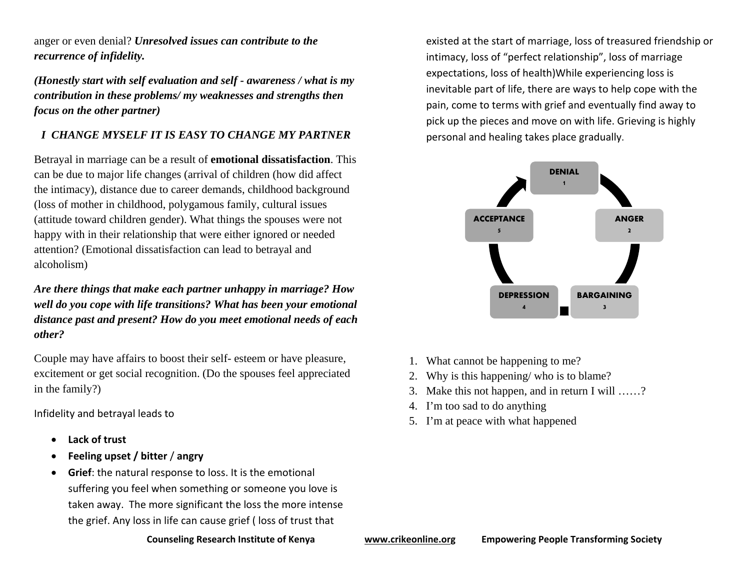anger or even denial? *Unresolved issues can contribute to the recurrence of infidelity.* 

*(Honestly start with self evaluation and self - awareness / what is my contribution in these problems/ my weaknesses and strengths then focus on the other partner)* 

## *I CHANGE MYSELF IT IS EASY TO CHANGE MY PARTNER*

Betrayal in marriage can be a result of **emotional dissatisfaction**. This can be due to major life changes (arrival of children (how did affect the intimacy), distance due to career demands, childhood background (loss of mother in childhood, polygamous family, cultural issues (attitude toward children gender). What things the spouses were not happy with in their relationship that were either ignored or needed attention? (Emotional dissatisfaction can lead to betrayal and alcoholism)

*Are there things that make each partner unhappy in marriage? How well do you cope with life transitions? What has been your emotional distance past and present? How do you meet emotional needs of each other?* 

Couple may have affairs to boost their self- esteem or have pleasure, excitement or get social recognition. (Do the spouses feel appreciated in the family?)

Infidelity and betrayal leads to

- 0 **Lack of trust**
- . **Feeling upset / bitter** / **angry**
- . **Grief**: the natural response to loss. It is the emotional suffering you feel when something or someone you love is taken away. The more significant the loss the more intense the grief. Any loss in life can cause grief ( loss of trust that

existed at the start of marriage, loss of treasured friendship or intimacy, loss of "perfect relationship", loss of marriage expectations, loss of health)While experiencing loss is inevitable part of life, there are ways to help cope with the pain, come to terms with grief and eventually find away to pick up the pieces and move on with life. Grieving is highly personal and healing takes place gradually.



- 1. What cannot be happening to me?
- 2.Why is this happening/ who is to blame?
- 3. Make this not happen, and in return I will ……?
- 4. I'm too sad to do anything
- 5. I'm at peace with what happened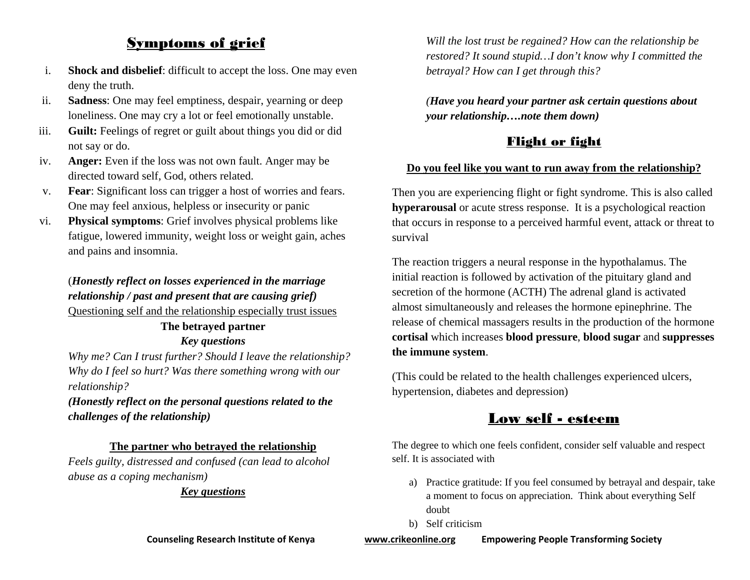## Symptoms of grief

- i. **Shock and disbelief**: difficult to accept the loss. One may even deny the truth.
- ii. **Sadness**: One may feel emptiness, despair, yearning or deep loneliness. One may cry a lot or feel emotionally unstable.
- iii. **Guilt:** Feelings of regret or guilt about things you did or did not say or do.
- iv. **Anger:** Even if the loss was not own fault. Anger may be directed toward self, God, others related.
- v. **Fear**: Significant loss can trigger a host of worries and fears. One may feel anxious, helpless or insecurity or panic
- vi. **Physical symptoms**: Grief involves physical problems like fatigue, lowered immunity, weight loss or weight gain, aches and pains and insomnia.

## (*Honestly reflect on losses experienced in the marriage relationship / past and present that are causing grief)* Questioning self and the relationship especially trust issues

## **The betrayed partner**  *Key questions*

*Why me? Can I trust further? Should I leave the relationship? Why do I feel so hurt? Was there something wrong with our relationship?* 

*(Honestly reflect on the personal questions related to the challenges of the relationship)* 

### **The partner who betrayed the relationship**

*Feels guilty, distressed and confused (can lead to alcohol abuse as a coping mechanism)* 

### *Key questions*

*Will the lost trust be regained? How can the relationship be restored? It sound stupid…I don't know why I committed the betrayal? How can I get through this?* 

*(Have you heard your partner ask certain questions about your relationship….note them down)* 

## Flight or fight

#### **Do you feel like you want to run away from the relationship?**

Then you are experiencing flight or fight syndrome. This is also called **hyperarousal** or acute stress response. It is a psychological reaction that occurs in response to a perceived harmful event, attack or threat to survival

The reaction triggers a neural response in the hypothalamus. The initial reaction is followed by activation of the pituitary gland and secretion of the hormone (ACTH) The adrenal gland is activated almost simultaneously and releases the hormone epinephrine. The release of chemical massagers results in the production of the hormone **cortisal** which increases **blood pressure**, **blood sugar** and **suppresses the immune system**.

(This could be related to the health challenges experienced ulcers, hypertension, diabetes and depression)

## Low self - esteem

The degree to which one feels confident, consider self valuable and respect self. It is associated with

- a) Practice gratitude: If you feel consumed by betrayal and despair, take a moment to focus on appreciation. Think about everything Self doubt
- b) Self criticism

**Counseling Research Institute of Kenya www.crikeonline.org Empowering People Transforming Society**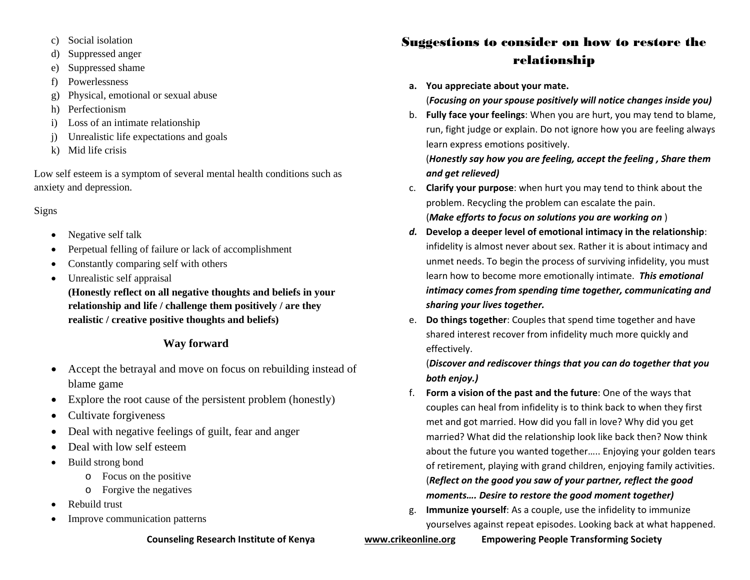- c) Social isolation
- d) Suppressed anger
- e) Suppressed shame
- f) Powerlessness
- g) Physical, emotional or sexual abuse
- h) Perfectionism
- i) Loss of an intimate relationship
- j) Unrealistic life expectations and goals
- k) Mid life crisis

Low self esteem is a symptom of several mental health conditions such as anxiety and depression.

### Signs

- $\bullet$ Negative self talk
- c Perpetual felling of failure or lack of accomplishment
- 6 Constantly comparing self with others
- 6 Unrealistic self appraisal

**(Honestly reflect on all negative thoughts and beliefs in your relationship and life / challenge them positively / are they realistic / creative positive thoughts and beliefs)** 

## **Way forward**

- $\bullet$  Accept the betrayal and move on focus on rebuilding instead of blame game
- $\bullet$ Explore the root cause of the persistent problem (honestly)
- $\bullet$ Cultivate forgiveness
- $\bullet$ Deal with negative feelings of guilt, fear and anger
- . Deal with low self esteem
- c Build strong bond
	- o Focus on the positive
	- o Forgive the negatives
- 6 Rebuild trust
- 6 Improve communication patterns

# Suggestions to consider on how to restore the relationship

**a. You appreciate about your mate.**

## (*Focusing on your spouse positively will notice changes inside you)*

b. **Fully face your feelings**: When you are hurt, you may tend to blame, run, fight judge or explain. Do not ignore how you are feeling always learn express emotions positively.

(*Honestly say how you are feeling, accept the feeling , Share them and get relieved)*

- c. **Clarify your purpose**: when hurt you may tend to think about the problem. Recycling the problem can escalate the pain. (*Make efforts to focus on solutions you are working on* )
- *d.* **Develop <sup>a</sup> deeper level of emotional intimacy in the relationship**: infidelity is almost never about sex. Rather it is about intimacy and unmet needs. To begin the process of surviving infidelity, you must learn how to become more emotionally intimate. *This emotional intimacy comes from spending time together, communicating and sharing your lives together.*
- e. **Do things together**: Couples that spend time together and have shared interest recover from infidelity much more quickly and effectively.

## (*Discover and rediscover things that you can do together that you both enjoy.)*

- f. **Form <sup>a</sup> vision of the past and the future**: One of the ways that couples can heal from infidelity is to think back to when they first met and got married. How did you fall in love? Why did you get married? What did the relationship look like back then? Now think about the future you wanted together….. Enjoying your golden tears of retirement, playing with grand children, enjoying family activities. (*Reflect on the good you saw of your partner, reflect the good moments…. Desire to restore the good moment together)*
- g. **Immunize yourself**: As <sup>a</sup> couple, use the infidelity to immunize yourselves against repeat episodes. Looking back at what happened.

## **Counseling Research Institute of Kenya www.crikeonline.org Empowering People Transforming Society**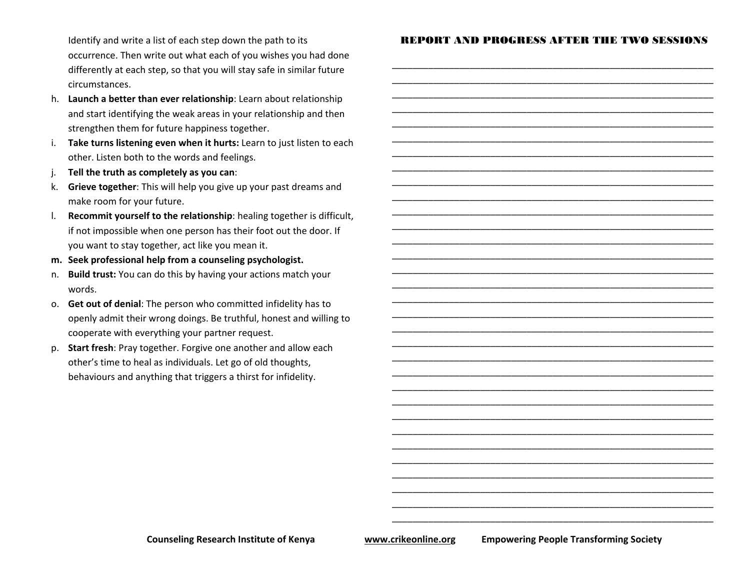Identify and write <sup>a</sup> list of each step down the path to its occurrence. Then write out what each of you wishes you had done differently at each step, so that you will stay safe in similar future circumstances.

- h. **Launch <sup>a</sup> better than ever relationship**: Learn about relationship and start identifying the weak areas in your relationship and then strengthen them for future happiness together.
- i. **Take turns listening even when it hurts:** Learn to just listen to each other. Listen both to the words and feelings.
- j. **Tell the truth as completely as you can**:
- k. **Grieve together**: This will help you give up your past dreams and make room for your future.
- l. **Recommit yourself to the relationship**: healing together is difficult, if not impossible when one person has their foot out the door. If you want to stay together, act like you mean it.
- **m. Seek professional help from <sup>a</sup> counseling psychologist.**
- n. **Build trust:** You can do this by having your actions match your words.
- o. **Get out of denial**: The person who committed infidelity has to openly admit their wrong doings. Be truthful, honest and willing to cooperate with everything your partner request.
- p. **Start fresh**: Pray together. Forgive one another and allow each other's time to heal as individuals. Let go of old thoughts, behaviours and anything that triggers <sup>a</sup> thirst for infidelity.

#### REPORT AND PROGRESS AFTER THE TWO SESSIONS

\_\_\_\_\_\_\_\_\_\_\_\_\_\_\_\_\_\_\_\_\_\_\_\_\_\_\_\_\_\_\_\_\_\_\_\_\_\_\_\_\_\_\_\_\_\_\_\_\_\_\_\_\_\_\_\_\_\_\_\_\_\_

\_\_\_\_\_\_\_\_\_\_\_\_\_\_\_\_\_\_\_\_\_\_\_\_\_\_\_\_\_\_\_\_\_\_\_\_\_\_\_\_\_\_\_\_\_\_\_\_\_\_\_\_\_\_\_\_\_\_\_\_\_\_

\_\_\_\_\_\_\_\_\_\_\_\_\_\_\_\_\_\_\_\_\_\_\_\_\_\_\_\_\_\_\_\_\_\_\_\_\_\_\_\_\_\_\_\_\_\_\_\_\_\_\_\_\_\_\_\_\_\_\_\_\_\_ \_\_\_\_\_\_\_\_\_\_\_\_\_\_\_\_\_\_\_\_\_\_\_\_\_\_\_\_\_\_\_\_\_\_\_\_\_\_\_\_\_\_\_\_\_\_\_\_\_\_\_\_\_\_\_\_\_\_\_\_\_\_ \_\_\_\_\_\_\_\_\_\_\_\_\_\_\_\_\_\_\_\_\_\_\_\_\_\_\_\_\_\_\_\_\_\_\_\_\_\_\_\_\_\_\_\_\_\_\_\_\_\_\_\_\_\_\_\_\_\_\_\_\_\_ \_\_\_\_\_\_\_\_\_\_\_\_\_\_\_\_\_\_\_\_\_\_\_\_\_\_\_\_\_\_\_\_\_\_\_\_\_\_\_\_\_\_\_\_\_\_\_\_\_\_\_\_\_\_\_\_\_\_\_\_\_\_

\_\_\_\_\_\_\_\_\_\_\_\_\_\_\_\_\_\_\_\_\_\_\_\_\_\_\_\_\_\_\_\_\_\_\_\_\_\_\_\_\_\_\_\_\_\_\_\_\_\_\_\_\_\_\_\_\_\_\_\_\_\_

\_\_\_\_\_\_\_\_\_\_\_\_\_\_\_\_\_\_\_\_\_\_\_\_\_\_\_\_\_\_\_\_\_\_\_\_\_\_\_\_\_\_\_\_\_\_\_\_\_\_\_\_\_\_\_\_\_\_\_\_\_\_ \_\_\_\_\_\_\_\_\_\_\_\_\_\_\_\_\_\_\_\_\_\_\_\_\_\_\_\_\_\_\_\_\_\_\_\_\_\_\_\_\_\_\_\_\_\_\_\_\_\_\_\_\_\_\_\_\_\_\_\_\_\_

\_\_\_\_\_\_\_\_\_\_\_\_\_\_\_\_\_\_\_\_\_\_\_\_\_\_\_\_\_\_\_\_\_\_\_\_\_\_\_\_\_\_\_\_\_\_\_\_\_\_\_\_\_\_\_\_\_\_\_\_\_\_

\_\_\_\_\_\_\_\_\_\_\_\_\_\_\_\_\_\_\_\_\_\_\_\_\_\_\_\_\_\_\_\_\_\_\_\_\_\_\_\_\_\_\_\_\_\_\_\_\_\_\_\_\_\_\_\_\_\_\_\_\_\_ \_\_\_\_\_\_\_\_\_\_\_\_\_\_\_\_\_\_\_\_\_\_\_\_\_\_\_\_\_\_\_\_\_\_\_\_\_\_\_\_\_\_\_\_\_\_\_\_\_\_\_\_\_\_\_\_\_\_\_\_\_\_

\_\_\_\_\_\_\_\_\_\_\_\_\_\_\_\_\_\_\_\_\_\_\_\_\_\_\_\_\_\_\_\_\_\_\_\_\_\_\_\_\_\_\_\_\_\_\_\_\_\_\_\_\_\_\_\_\_\_\_\_\_\_

\_\_\_\_\_\_\_\_\_\_\_\_\_\_\_\_\_\_\_\_\_\_\_\_\_\_\_\_\_\_\_\_\_\_\_\_\_\_\_\_\_\_\_\_\_\_\_\_\_\_\_\_\_\_\_\_\_\_\_\_\_\_ \_\_\_\_\_\_\_\_\_\_\_\_\_\_\_\_\_\_\_\_\_\_\_\_\_\_\_\_\_\_\_\_\_\_\_\_\_\_\_\_\_\_\_\_\_\_\_\_\_\_\_\_\_\_\_\_\_\_\_\_\_\_ \_\_\_\_\_\_\_\_\_\_\_\_\_\_\_\_\_\_\_\_\_\_\_\_\_\_\_\_\_\_\_\_\_\_\_\_\_\_\_\_\_\_\_\_\_\_\_\_\_\_\_\_\_\_\_\_\_\_\_\_\_\_ \_\_\_\_\_\_\_\_\_\_\_\_\_\_\_\_\_\_\_\_\_\_\_\_\_\_\_\_\_\_\_\_\_\_\_\_\_\_\_\_\_\_\_\_\_\_\_\_\_\_\_\_\_\_\_\_\_\_\_\_\_\_

\_\_\_\_\_\_\_\_\_\_\_\_\_\_\_\_\_\_\_\_\_\_\_\_\_\_\_\_\_\_\_\_\_\_\_\_\_\_\_\_\_\_\_\_\_\_\_\_\_\_\_\_\_\_\_\_\_\_\_\_\_\_

\_\_\_\_\_\_\_\_\_\_\_\_\_\_\_\_\_\_\_\_\_\_\_\_\_\_\_\_\_\_\_\_\_\_\_\_\_\_\_\_\_\_\_\_\_\_\_\_\_\_\_\_\_\_\_\_\_\_\_\_\_\_ \_\_\_\_\_\_\_\_\_\_\_\_\_\_\_\_\_\_\_\_\_\_\_\_\_\_\_\_\_\_\_\_\_\_\_\_\_\_\_\_\_\_\_\_\_\_\_\_\_\_\_\_\_\_\_\_\_\_\_\_\_\_

\_\_\_\_\_\_\_\_\_\_\_\_\_\_\_\_\_\_\_\_\_\_\_\_\_\_\_\_\_\_\_\_\_\_\_\_\_\_\_\_\_\_\_\_\_\_\_\_\_\_\_\_\_\_\_\_\_\_\_\_\_\_

**Counseling Research Institute of Kenya www.crikeonline.org Empowering People Transforming Society**